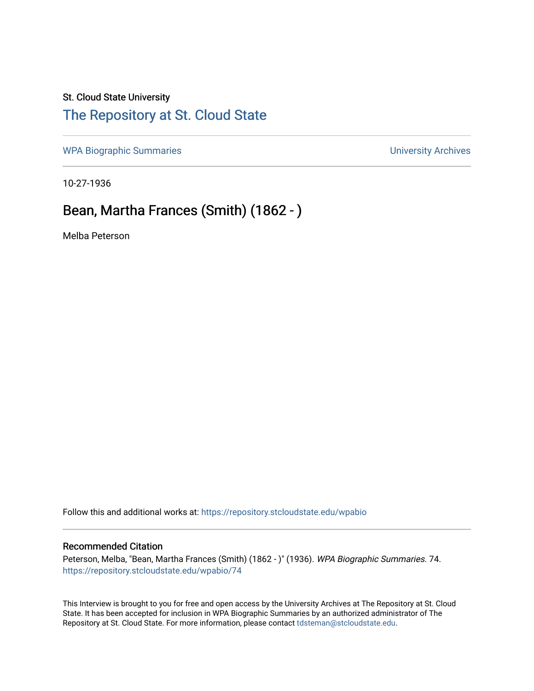## St. Cloud State University [The Repository at St. Cloud State](https://repository.stcloudstate.edu/)

[WPA Biographic Summaries](https://repository.stcloudstate.edu/wpabio) **WPA Biographic Summaries University Archives** 

10-27-1936

## Bean, Martha Frances (Smith) (1862 - )

Melba Peterson

Follow this and additional works at: [https://repository.stcloudstate.edu/wpabio](https://repository.stcloudstate.edu/wpabio?utm_source=repository.stcloudstate.edu%2Fwpabio%2F74&utm_medium=PDF&utm_campaign=PDFCoverPages) 

## Recommended Citation

Peterson, Melba, "Bean, Martha Frances (Smith) (1862 - )" (1936). WPA Biographic Summaries. 74. [https://repository.stcloudstate.edu/wpabio/74](https://repository.stcloudstate.edu/wpabio/74?utm_source=repository.stcloudstate.edu%2Fwpabio%2F74&utm_medium=PDF&utm_campaign=PDFCoverPages)

This Interview is brought to you for free and open access by the University Archives at The Repository at St. Cloud State. It has been accepted for inclusion in WPA Biographic Summaries by an authorized administrator of The Repository at St. Cloud State. For more information, please contact [tdsteman@stcloudstate.edu.](mailto:tdsteman@stcloudstate.edu)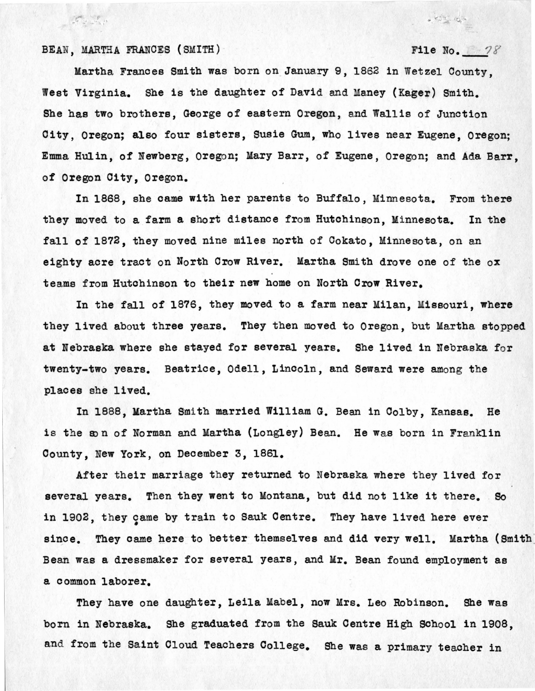BEAN, MARTHA FRANCES (SMITH)  $File No.$   $78$ 

 $\mathcal{F} = \mathcal{F}$ 

 $\frac{1}{\sqrt{2}}\sum_{i=1}^{n} \frac{1}{\sqrt{2}}\sum_{i=1}^{n} \frac{1}{\sqrt{2}}\sum_{i=1}^{n} \frac{1}{\sqrt{2}}\sum_{i=1}^{n} \frac{1}{\sqrt{2}}\sum_{i=1}^{n} \frac{1}{\sqrt{2}}\sum_{i=1}^{n} \frac{1}{\sqrt{2}}\sum_{i=1}^{n} \frac{1}{\sqrt{2}}\sum_{i=1}^{n} \frac{1}{\sqrt{2}}\sum_{i=1}^{n} \frac{1}{\sqrt{2}}\sum_{i=1}^{n} \frac{1}{\sqrt{2}}\sum_{i=1}^{n}$ 

Martha Frances Smith was born on January 9, 1862 in Wetzel County. West Virginia. She is the daughter of David and Maney {Kager) Smith. She has two brothers, George of eastern Oregon, and Wallis of Junction 01 ty, Oregon; also four sisters, Susie Gum, who lives near Eugene, Oregon; Emma Hulin, of Newberg, Oregon; Mary Barr, of Eugene, Oregon; and Ada Barr, of Oregon City, Oregon.

In 1868, she oame with her parents to Buffalo, Minnesota. From there they moved to a farm a short distance from Hutchinson, Minnesota. In the fall of 1872, they moved nine miles north of Cokato, Minnesota, on an eighty acre tract on North Crow River. Martha Smith drove one of the ox teams from Hutchinson to their new home on North **Crow** River.

In the fall of 1876, they moved \_to a farm near Milan, Missouri, **where**  they lived about three years. They then moved to Oregon, but Martha stopped at Nebraska where she stayed for several years. She lived in Nebraska for twenty-two years. Beatrice, Odell, Lincoln, and Seward were among the places she lived.

In 1888, Martha Smith married William G. Bean in Oolby, Kansas. He is the son of Norman and Martha (Longley) Bean. He was born in Franklin County, New York, on December 3, 1861.

After their marriage they returned to Nebraska where they lived for several years. Then they went to Montana, but did not like it there. So in 1902, they came by train to Sauk Centre. They have lived here ever • since. They came here to better themselves and did very well. Martha (Smith Bean was a dressmaker for several years, and Mr. Bean found employment as a common laborer.

They have one daughter, Leila Mabel, now Mrs. Leo Robinson. She was born in Nebraska. She graduated from the Sauk Centre High School in 1908, and from the Saint Cloud Teachers College. She was a primary teacher in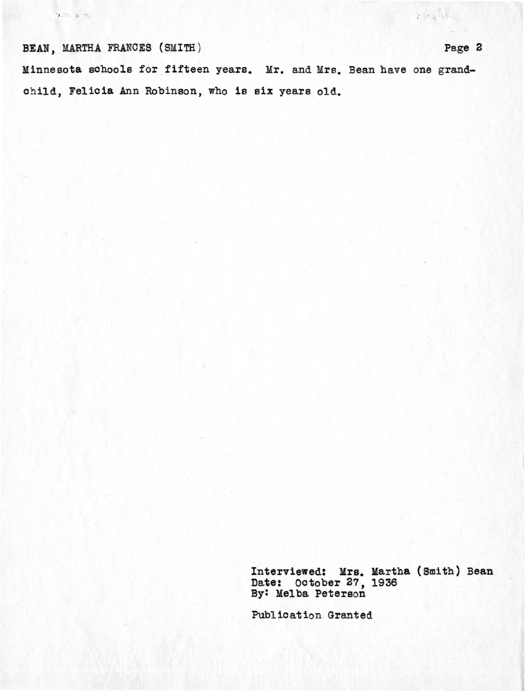BEAN, MARTHA FRANCES (SMITH)

 $9.7.8.8$ 

Minnesota schools for fifteen years. Mr. and Mrs. Bean have one grandchild, Felicia Ann Robinson, who is six years old.

> Interviewed: Mrs. Martha (Smith) Bean Date: October 27, 1936 By: Melba Peterson

Publication Granted

 $\mathcal{L} \cup \mathcal{L} \rightarrow \mathcal{L}$